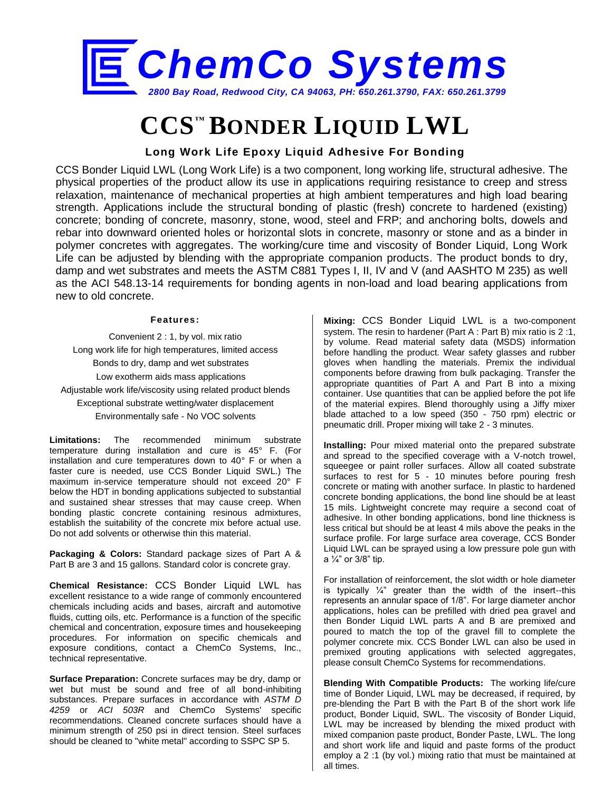

# **CCS™ BONDER LIQUID LWL**

## **Long Work Life Epoxy Liquid Adhesive For Bonding**

CCS Bonder Liquid LWL (Long Work Life) is a two component, long working life, structural adhesive. The physical properties of the product allow its use in applications requiring resistance to creep and stress relaxation, maintenance of mechanical properties at high ambient temperatures and high load bearing strength. Applications include the structural bonding of plastic (fresh) concrete to hardened (existing) concrete; bonding of concrete, masonry, stone, wood, steel and FRP; and anchoring bolts, dowels and rebar into downward oriented holes or horizontal slots in concrete, masonry or stone and as a binder in polymer concretes with aggregates. The working/cure time and viscosity of Bonder Liquid, Long Work Life can be adjusted by blending with the appropriate companion products. The product bonds to dry, damp and wet substrates and meets the ASTM C881 Types I, II, IV and V (and AASHTO M 235) as well as the ACI 548.13-14 requirements for bonding agents in non-load and load bearing applications from new to old concrete.

#### **Features:**

Convenient 2 : 1, by vol. mix ratio Long work life for high temperatures, limited access Bonds to dry, damp and wet substrates Low exotherm aids mass applications Adjustable work life/viscosity using related product blends Exceptional substrate wetting/water displacement Environmentally safe - No VOC solvents

**Limitations:** The recommended minimum substrate temperature during installation and cure is 45° F. (For installation and cure temperatures down to 40° F or when a faster cure is needed, use CCS Bonder Liquid SWL.) The maximum in-service temperature should not exceed 20° F below the HDT in bonding applications subjected to substantial and sustained shear stresses that may cause creep. When bonding plastic concrete containing resinous admixtures, establish the suitability of the concrete mix before actual use. Do not add solvents or otherwise thin this material.

**Packaging & Colors:** Standard package sizes of Part A & Part B are 3 and 15 gallons. Standard color is concrete gray.

**Chemical Resistance:** CCS Bonder Liquid LWL has excellent resistance to a wide range of commonly encountered chemicals including acids and bases, aircraft and automotive fluids, cutting oils, etc. Performance is a function of the specific chemical and concentration, exposure times and housekeeping procedures. For information on specific chemicals and exposure conditions, contact a ChemCo Systems, Inc., technical representative.

**Surface Preparation:** Concrete surfaces may be dry, damp or wet but must be sound and free of all bond-inhibiting substances. Prepare surfaces in accordance with *ASTM D 4259* or *ACI 503R* and ChemCo Systems' specific recommendations. Cleaned concrete surfaces should have a minimum strength of 250 psi in direct tension. Steel surfaces should be cleaned to "white metal" according to SSPC SP 5.

**Mixing:** CCS Bonder Liquid LWL is a two-component system. The resin to hardener (Part A : Part B) mix ratio is 2 :1, by volume. Read material safety data (MSDS) information before handling the product. Wear safety glasses and rubber gloves when handling the materials. Premix the individual components before drawing from bulk packaging. Transfer the appropriate quantities of Part A and Part B into a mixing container. Use quantities that can be applied before the pot life of the material expires. Blend thoroughly using a Jiffy mixer blade attached to a low speed (350 - 750 rpm) electric or pneumatic drill. Proper mixing will take 2 - 3 minutes.

**Installing:** Pour mixed material onto the prepared substrate and spread to the specified coverage with a V-notch trowel, squeegee or paint roller surfaces. Allow all coated substrate surfaces to rest for 5 - 10 minutes before pouring fresh concrete or mating with another surface. In plastic to hardened concrete bonding applications, the bond line should be at least 15 mils. Lightweight concrete may require a second coat of adhesive. In other bonding applications, bond line thickness is less critical but should be at least 4 mils above the peaks in the surface profile. For large surface area coverage, CCS Bonder Liquid LWL can be sprayed using a low pressure pole gun with a ¼" or 3/8" tip.

For installation of reinforcement, the slot width or hole diameter is typically  $\frac{1}{4}$ " greater than the width of the insert--this represents an annular space of 1/8". For large diameter anchor applications, holes can be prefilled with dried pea gravel and then Bonder Liquid LWL parts A and B are premixed and poured to match the top of the gravel fill to complete the polymer concrete mix. CCS Bonder LWL can also be used in premixed grouting applications with selected aggregates, please consult ChemCo Systems for recommendations.

**Blending With Compatible Products:** The working life/cure time of Bonder Liquid, LWL may be decreased, if required, by pre-blending the Part B with the Part B of the short work life product, Bonder Liquid, SWL. The viscosity of Bonder Liquid, LWL may be increased by blending the mixed product with mixed companion paste product, Bonder Paste, LWL. The long and short work life and liquid and paste forms of the product employ a 2 :1 (by vol.) mixing ratio that must be maintained at all times.